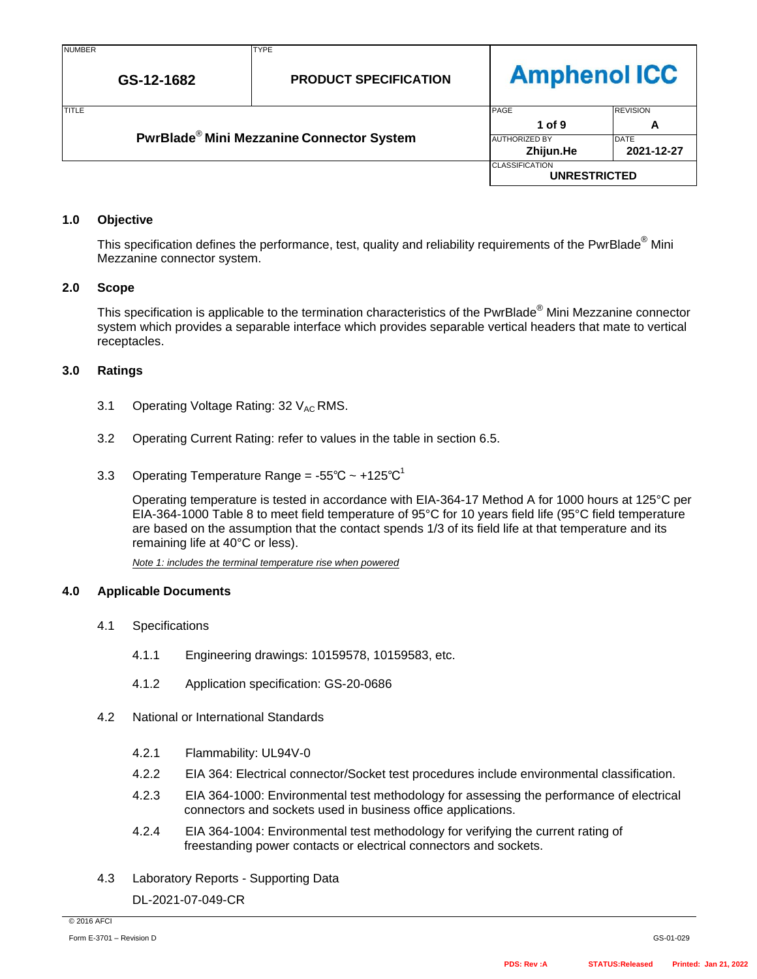# **Amphenol ICC**

| <b>TITLE</b>                                          | PAGE                              | <b>REVISION</b>           |  |
|-------------------------------------------------------|-----------------------------------|---------------------------|--|
|                                                       | 1 of 9                            |                           |  |
| PwrBlade <sup>®</sup> Mini Mezzanine Connector System | <b>AUTHORIZED BY</b><br>Zhijun.He | <b>DATE</b><br>2021-12-27 |  |
|                                                       | <b>CLASSIFICATION</b>             | <b>UNRESTRICTED</b>       |  |

#### **1.0 Objective**

This specification defines the performance, test, quality and reliability requirements of the PwrBlade<sup>®</sup> Mini Mezzanine connector system.

#### **2.0 Scope**

This specification is applicable to the termination characteristics of the PwrBlade® Mini Mezzanine connector system which provides a separable interface which provides separable vertical headers that mate to vertical receptacles.

#### **3.0 Ratings**

- 3.1 Operating Voltage Rating:  $32 V_{AC}$  RMS.
- 3.2 Operating Current Rating: refer to values in the table in section 6.5.
- 3.3 Operating Temperature Range =  $-55^{\circ}$ C ~  $+125^{\circ}$ C<sup>1</sup>

Operating temperature is tested in accordance with EIA-364-17 Method A for 1000 hours at 125°C per EIA-364-1000 Table 8 to meet field temperature of 95°C for 10 years field life (95°C field temperature are based on the assumption that the contact spends 1/3 of its field life at that temperature and its remaining life at 40°C or less).

*Note 1: includes the terminal temperature rise when powered*

#### **4.0 Applicable Documents**

- 4.1 Specifications
	- 4.1.1 Engineering drawings: 10159578, 10159583, etc.
	- 4.1.2 Application specification: GS-20-0686
- 4.2 National or International Standards
	- 4.2.1 Flammability: UL94V-0
	- 4.2.2 EIA 364: Electrical connector/Socket test procedures include environmental classification.
	- 4.2.3 EIA 364-1000: Environmental test methodology for assessing the performance of electrical connectors and sockets used in business office applications.
	- 4.2.4 EIA 364-1004: Environmental test methodology for verifying the current rating of freestanding power contacts or electrical connectors and sockets.
- 4.3 Laboratory Reports Supporting Data

DL-2021-07-049-CR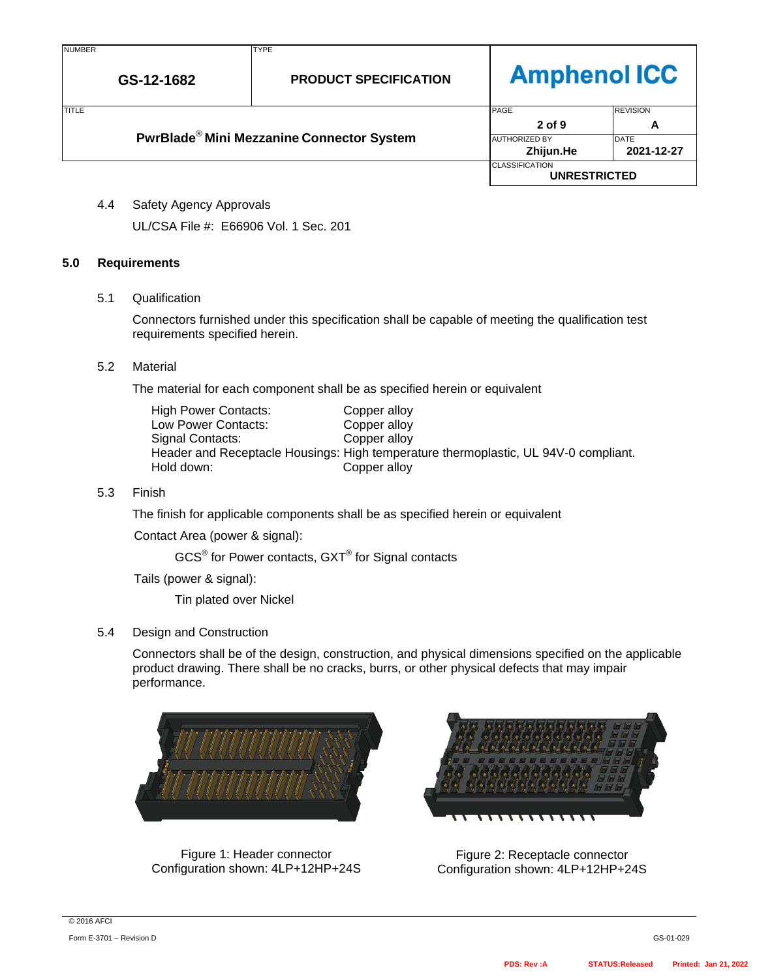# **Amphenol ICC**

| <b>ITITLE</b>                                         |  | PAGE                 |                       | <b>REVISION</b> |
|-------------------------------------------------------|--|----------------------|-----------------------|-----------------|
|                                                       |  |                      | 2 of 9                |                 |
| PwrBlade <sup>®</sup> Mini Mezzanine Connector System |  | <b>AUTHORIZED BY</b> | <b>DATE</b>           |                 |
|                                                       |  |                      | Zhijun.He             | 2021-12-27      |
|                                                       |  |                      | <b>CLASSIFICATION</b> |                 |
|                                                       |  |                      | <b>UNRESTRICTED</b>   |                 |

4.4 Safety Agency Approvals

UL/CSA File #: E66906 Vol. 1 Sec. 201

### **5.0 Requirements**

#### 5.1 Qualification

Connectors furnished under this specification shall be capable of meeting the qualification test requirements specified herein.

#### 5.2 Material

The material for each component shall be as specified herein or equivalent

| <b>High Power Contacts:</b> | Copper alloy                                                                        |
|-----------------------------|-------------------------------------------------------------------------------------|
| Low Power Contacts:         | Copper alloy                                                                        |
| Signal Contacts:            | Copper alloy                                                                        |
|                             | Header and Receptacle Housings: High temperature thermoplastic, UL 94V-0 compliant. |
| Hold down:                  | Copper alloy                                                                        |

#### 5.3 Finish

The finish for applicable components shall be as specified herein or equivalent

Contact Area (power & signal):

 $\mathsf{GCS}^{\circledast}$  for Power contacts,  $\mathsf{GXT}^{\circledast}$  for Signal contacts

Tails (power & signal):

Tin plated over Nickel

### 5.4 Design and Construction

Connectors shall be of the design, construction, and physical dimensions specified on the applicable product drawing. There shall be no cracks, burrs, or other physical defects that may impair performance.



Figure 1: Header connector Configuration shown: 4LP+12HP+24S



Figure 2: Receptacle connector Configuration shown: 4LP+12HP+24S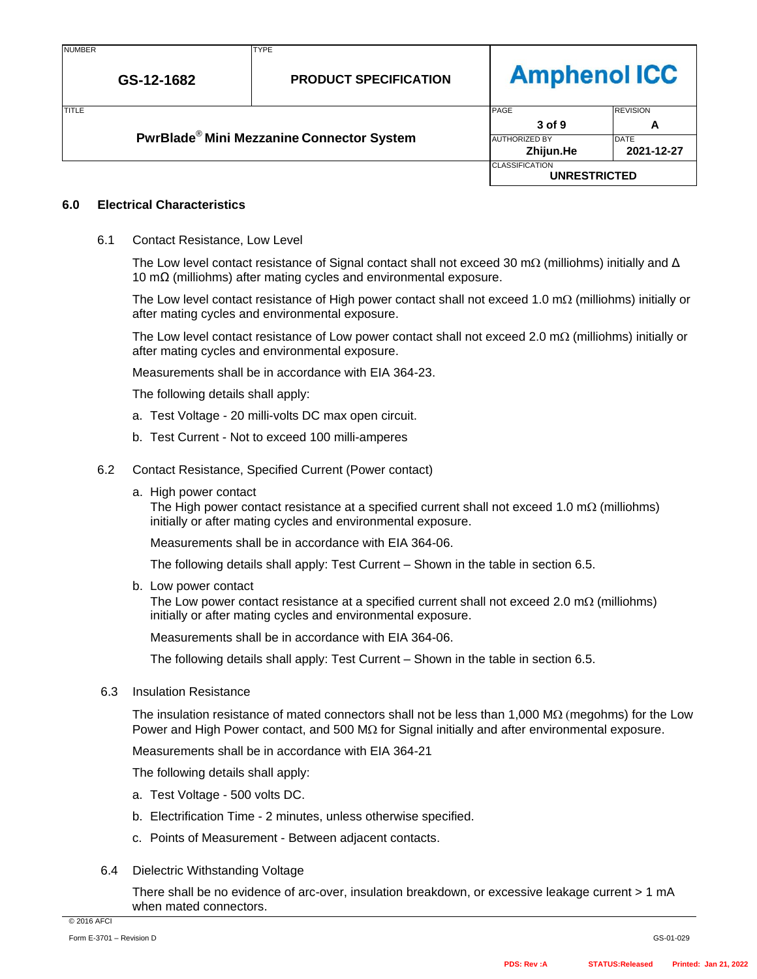| JI IMBE! | a. |
|----------|----|
|          |    |

# **Amphenol ICC**

| <b>ITITLE</b>                                         |                      |      | PAGE                  | <b>REVISION</b> |
|-------------------------------------------------------|----------------------|------|-----------------------|-----------------|
|                                                       |                      |      | 3 of 9                |                 |
| PwrBlade <sup>®</sup> Mini Mezzanine Connector System | <b>AUTHORIZED BY</b> | DATE |                       |                 |
|                                                       |                      |      | Zhijun.He             | 2021-12-27      |
|                                                       |                      |      | <b>CLASSIFICATION</b> |                 |
|                                                       |                      |      | <b>UNRESTRICTED</b>   |                 |

### **6.0 Electrical Characteristics**

6.1 Contact Resistance, Low Level

The Low level contact resistance of Signal contact shall not exceed 30 m $\Omega$  (milliohms) initially and  $\Delta$ 10 mΩ (milliohms) after mating cycles and environmental exposure.

The Low level contact resistance of High power contact shall not exceed 1.0 m $\Omega$  (milliohms) initially or after mating cycles and environmental exposure.

The Low level contact resistance of Low power contact shall not exceed 2.0 m $\Omega$  (milliohms) initially or after mating cycles and environmental exposure.

Measurements shall be in accordance with EIA 364-23.

The following details shall apply:

- a. Test Voltage 20 milli-volts DC max open circuit.
- b. Test Current Not to exceed 100 milli-amperes
- 6.2 Contact Resistance, Specified Current (Power contact)
	- a. High power contact

The High power contact resistance at a specified current shall not exceed 1.0 m $\Omega$  (milliohms) initially or after mating cycles and environmental exposure.

Measurements shall be in accordance with EIA 364-06.

The following details shall apply: Test Current – Shown in the table in section 6.5.

b. Low power contact

The Low power contact resistance at a specified current shall not exceed 2.0  $m\Omega$  (milliohms) initially or after mating cycles and environmental exposure.

Measurements shall be in accordance with EIA 364-06.

The following details shall apply: Test Current – Shown in the table in section 6.5.

6.3 Insulation Resistance

The insulation resistance of mated connectors shall not be less than  $1,000 \text{ M}\Omega$  (megohms) for the Low Power and High Power contact, and 500  $M\Omega$  for Signal initially and after environmental exposure.

Measurements shall be in accordance with EIA 364-21

The following details shall apply:

- a. Test Voltage 500 volts DC.
- b. Electrification Time 2 minutes, unless otherwise specified.
- c. Points of Measurement Between adjacent contacts.
- 6.4 Dielectric Withstanding Voltage

There shall be no evidence of arc-over, insulation breakdown, or excessive leakage current > 1 mA when mated connectors.

© 2016 AFCI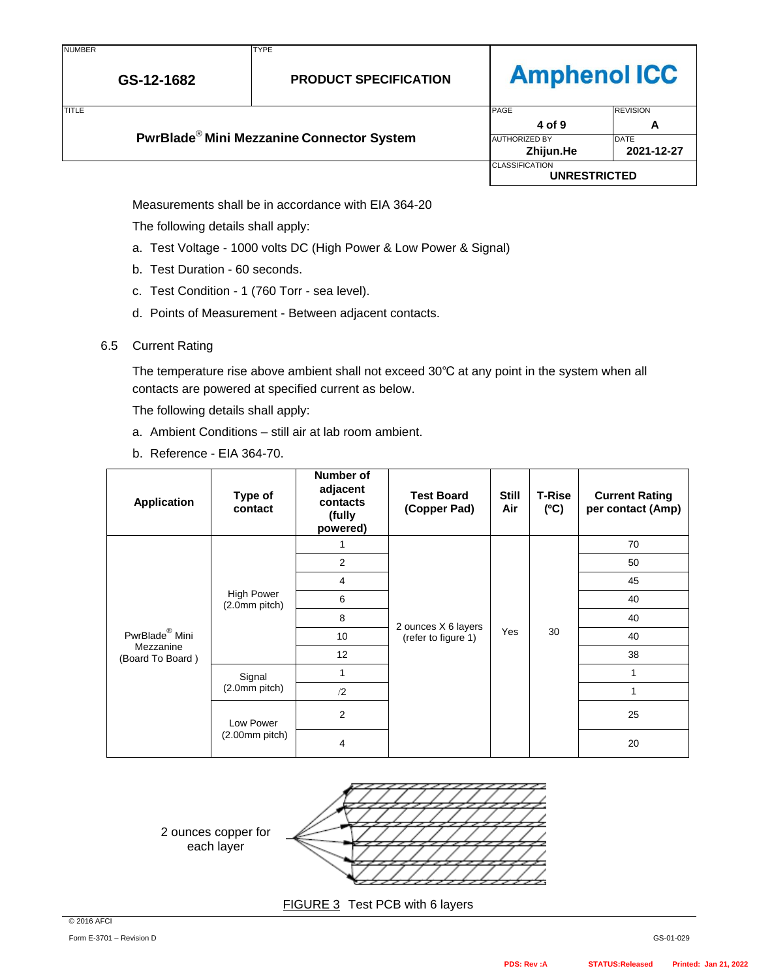# **Amphenol ICC**

| <b>TITLE</b>                                          |                      | PAGE                                         | <b>REVISION</b> |
|-------------------------------------------------------|----------------------|----------------------------------------------|-----------------|
|                                                       |                      | 4 of 9                                       | A               |
| PwrBlade <sup>®</sup> Mini Mezzanine Connector System | <b>AUTHORIZED BY</b> | DATE                                         |                 |
|                                                       |                      | Zhijun.He                                    | 2021-12-27      |
|                                                       |                      | <b>CLASSIFICATION</b><br><b>UNRESTRICTED</b> |                 |

Measurements shall be in accordance with EIA 364-20

The following details shall apply:

- a. Test Voltage 1000 volts DC (High Power & Low Power & Signal)
- b. Test Duration 60 seconds.
- c. Test Condition 1 (760 Torr sea level).
- d. Points of Measurement Between adjacent contacts.
- 6.5 Current Rating

The temperature rise above ambient shall not exceed 30℃ at any point in the system when all contacts are powered at specified current as below.

The following details shall apply:

- a. Ambient Conditions still air at lab room ambient.
- b. Reference EIA 364-70.

| <b>Application</b>                                          | Type of<br>contact                 | Number of<br>adjacent<br>contacts<br>(fully<br>powered) | <b>Test Board</b><br>(Copper Pad)          | <b>Still</b><br>Air | <b>T-Rise</b><br>(C) | <b>Current Rating</b><br>per contact (Amp) |    |
|-------------------------------------------------------------|------------------------------------|---------------------------------------------------------|--------------------------------------------|---------------------|----------------------|--------------------------------------------|----|
|                                                             |                                    |                                                         |                                            |                     |                      | 70                                         |    |
|                                                             |                                    | 2                                                       |                                            |                     | 30                   | 50                                         |    |
| PwrBlade <sup>®</sup> Mini<br>Mezzanine<br>(Board To Board) | <b>High Power</b><br>(2.0mm pitch) | 4                                                       | 2 ounces X 6 layers<br>(refer to figure 1) | Yes                 |                      | 45                                         |    |
|                                                             |                                    | 6                                                       |                                            |                     |                      | 40                                         |    |
|                                                             |                                    | 8                                                       |                                            |                     |                      | 40                                         |    |
|                                                             |                                    | 10                                                      |                                            |                     |                      | 40                                         |    |
|                                                             |                                    | 12                                                      |                                            |                     |                      | 38                                         |    |
|                                                             | Signal<br>(2.0mm pitch)            |                                                         |                                            |                     |                      | 1                                          |    |
|                                                             |                                    | /2                                                      |                                            |                     | 1                    |                                            |    |
|                                                             | Low Power<br>$(2.00mm$ pitch)      | 2                                                       |                                            |                     |                      |                                            | 25 |
|                                                             |                                    | 4                                                       |                                            |                     |                      | 20                                         |    |



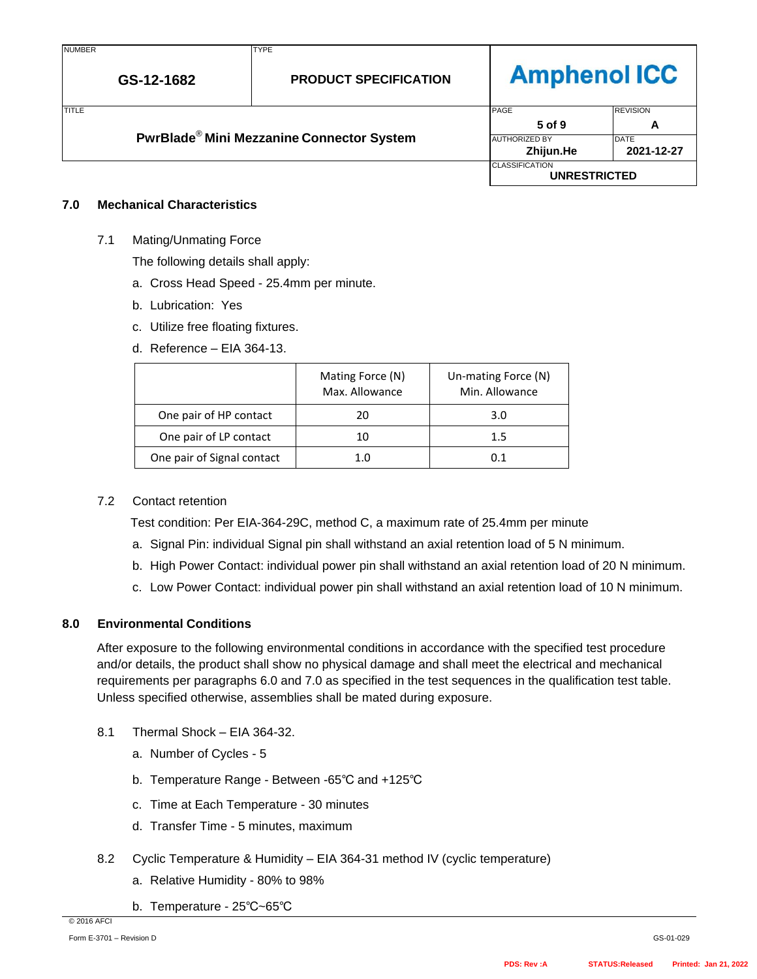## **Amphenol ICC**

| <b>TITLE</b> |                                                       | PAGE                                         | <b>REVISION</b>           |
|--------------|-------------------------------------------------------|----------------------------------------------|---------------------------|
|              |                                                       | 5 of 9                                       | Α                         |
|              | PwrBlade <sup>®</sup> Mini Mezzanine Connector System | <b>AUTHORIZED BY</b><br>Zhijun.He            | <b>DATE</b><br>2021-12-27 |
|              |                                                       | <b>CLASSIFICATION</b><br><b>UNRESTRICTED</b> |                           |

### **7.0 Mechanical Characteristics**

7.1 Mating/Unmating Force

The following details shall apply:

- a. Cross Head Speed 25.4mm per minute.
- b. Lubrication: Yes
- c. Utilize free floating fixtures.
- d. Reference EIA 364-13.

|                            | Mating Force (N)<br>Max. Allowance | Un-mating Force (N)<br>Min. Allowance |
|----------------------------|------------------------------------|---------------------------------------|
| One pair of HP contact     | 20                                 | 3.0                                   |
| One pair of LP contact     |                                    | 1.5                                   |
| One pair of Signal contact |                                    | O 1                                   |

### 7.2 Contact retention

Test condition: Per EIA-364-29C, method C, a maximum rate of 25.4mm per minute

- a. Signal Pin: individual Signal pin shall withstand an axial retention load of 5 N minimum.
- b. High Power Contact: individual power pin shall withstand an axial retention load of 20 N minimum.
- c. Low Power Contact: individual power pin shall withstand an axial retention load of 10 N minimum.

### **8.0 Environmental Conditions**

After exposure to the following environmental conditions in accordance with the specified test procedure and/or details, the product shall show no physical damage and shall meet the electrical and mechanical requirements per paragraphs 6.0 and 7.0 as specified in the test sequences in the qualification test table. Unless specified otherwise, assemblies shall be mated during exposure.

- 8.1 Thermal Shock EIA 364-32.
	- a. Number of Cycles 5
	- b. Temperature Range Between -65℃ and +125℃
	- c. Time at Each Temperature 30 minutes
	- d. Transfer Time 5 minutes, maximum
- 8.2 Cyclic Temperature & Humidity EIA 364-31 method IV (cyclic temperature)
	- a. Relative Humidity 80% to 98%
	- b. Temperature 25℃~65℃

© 2016 AFCI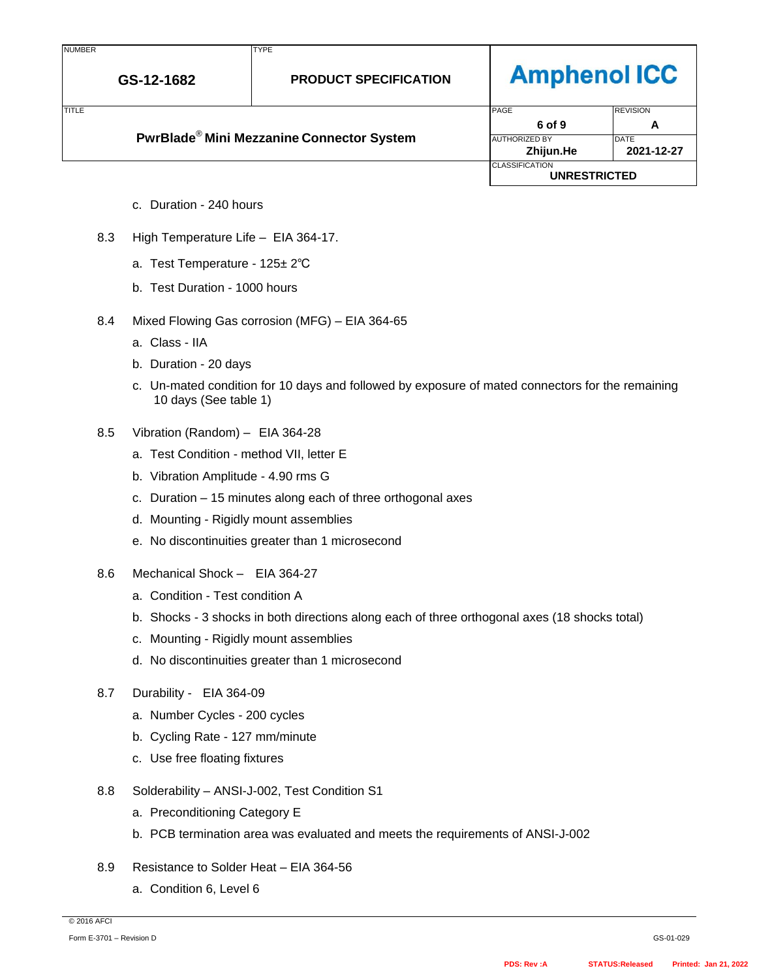| I | ч.<br>в.<br>பட<br>IVIГ | - |
|---|------------------------|---|
|   |                        |   |

# **Amphenol ICC**

| <b>TITLE</b>                                                |                      | PAGE                  | <b>REVISION</b>     |  |
|-------------------------------------------------------------|----------------------|-----------------------|---------------------|--|
|                                                             |                      | 6 of 9                | A                   |  |
| <b>PwrBlade<sup>®</sup> Mini Mezzanine Connector System</b> | <b>AUTHORIZED BY</b> | <b>IDATE</b>          |                     |  |
|                                                             |                      | Zhijun.He             | 2021-12-27          |  |
|                                                             |                      | <b>CLASSIFICATION</b> | <b>UNRESTRICTED</b> |  |

- c. Duration 240 hours
- 8.3 High Temperature Life EIA 364-17.
	- a. Test Temperature 125± 2℃
	- b. Test Duration 1000 hours
- 8.4 Mixed Flowing Gas corrosion (MFG) EIA 364-65
	- a. Class IIA
	- b. Duration 20 days
	- c. Un-mated condition for 10 days and followed by exposure of mated connectors for the remaining 10 days (See table 1)
- 8.5 Vibration (Random) EIA 364-28
	- a. Test Condition method VII, letter E
	- b. Vibration Amplitude 4.90 rms G
	- c. Duration 15 minutes along each of three orthogonal axes
	- d. Mounting Rigidly mount assemblies
	- e. No discontinuities greater than 1 microsecond
- 8.6 Mechanical Shock EIA 364-27
	- a. Condition Test condition A
	- b. Shocks 3 shocks in both directions along each of three orthogonal axes (18 shocks total)
	- c. Mounting Rigidly mount assemblies
	- d. No discontinuities greater than 1 microsecond
- 8.7 Durability EIA 364-09
	- a. Number Cycles 200 cycles
	- b. Cycling Rate 127 mm/minute
	- c. Use free floating fixtures
- 8.8 Solderability ANSI-J-002, Test Condition S1
	- a. Preconditioning Category E
	- b. PCB termination area was evaluated and meets the requirements of ANSI-J-002
- 8.9 Resistance to Solder Heat EIA 364-56
	- a. Condition 6, Level 6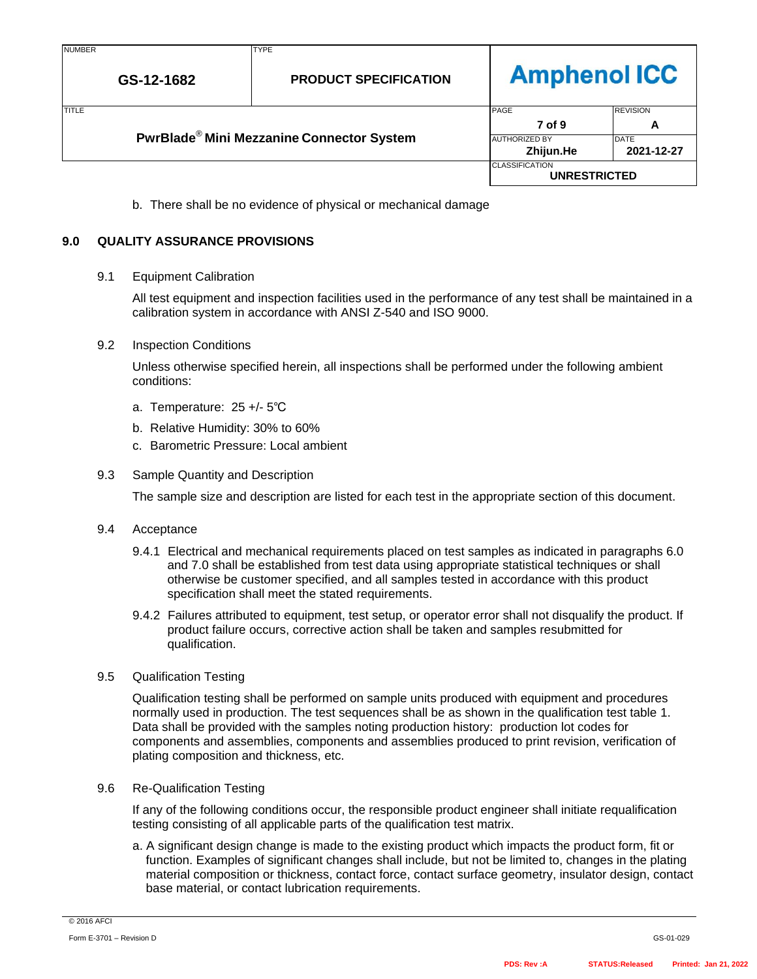| <b>NUMBER</b> |  |
|---------------|--|
|               |  |

# **Amphenol ICC**

|              |                                                       |                                   | <b>CLASSIFICATION</b><br><b>UNRESTRICTED</b> |                      |
|--------------|-------------------------------------------------------|-----------------------------------|----------------------------------------------|----------------------|
|              | PwrBlade <sup>®</sup> Mini Mezzanine Connector System | <b>AUTHORIZED BY</b><br>Zhijun.He | <b>DATE</b><br>2021-12-27                    |                      |
| <b>TITLE</b> |                                                       |                                   | <b>PAGE</b><br>7 of 9                        | <b>REVISION</b><br>А |
|              |                                                       |                                   |                                              |                      |

b. There shall be no evidence of physical or mechanical damage

## **9.0 QUALITY ASSURANCE PROVISIONS**

## 9.1 Equipment Calibration

All test equipment and inspection facilities used in the performance of any test shall be maintained in a calibration system in accordance with ANSI Z-540 and ISO 9000.

## 9.2 Inspection Conditions

Unless otherwise specified herein, all inspections shall be performed under the following ambient conditions:

- a. Temperature: 25 +/- 5℃
- b. Relative Humidity: 30% to 60%
- c. Barometric Pressure: Local ambient

## 9.3 Sample Quantity and Description

The sample size and description are listed for each test in the appropriate section of this document.

## 9.4 Acceptance

- 9.4.1 Electrical and mechanical requirements placed on test samples as indicated in paragraphs 6.0 and 7.0 shall be established from test data using appropriate statistical techniques or shall otherwise be customer specified, and all samples tested in accordance with this product specification shall meet the stated requirements.
- 9.4.2 Failures attributed to equipment, test setup, or operator error shall not disqualify the product. If product failure occurs, corrective action shall be taken and samples resubmitted for qualification.

## 9.5 Qualification Testing

Qualification testing shall be performed on sample units produced with equipment and procedures normally used in production. The test sequences shall be as shown in the qualification test table 1. Data shall be provided with the samples noting production history: production lot codes for components and assemblies, components and assemblies produced to print revision, verification of plating composition and thickness, etc.

## 9.6 Re-Qualification Testing

If any of the following conditions occur, the responsible product engineer shall initiate requalification testing consisting of all applicable parts of the qualification test matrix.

a. A significant design change is made to the existing product which impacts the product form, fit or function. Examples of significant changes shall include, but not be limited to, changes in the plating material composition or thickness, contact force, contact surface geometry, insulator design, contact base material, or contact lubrication requirements.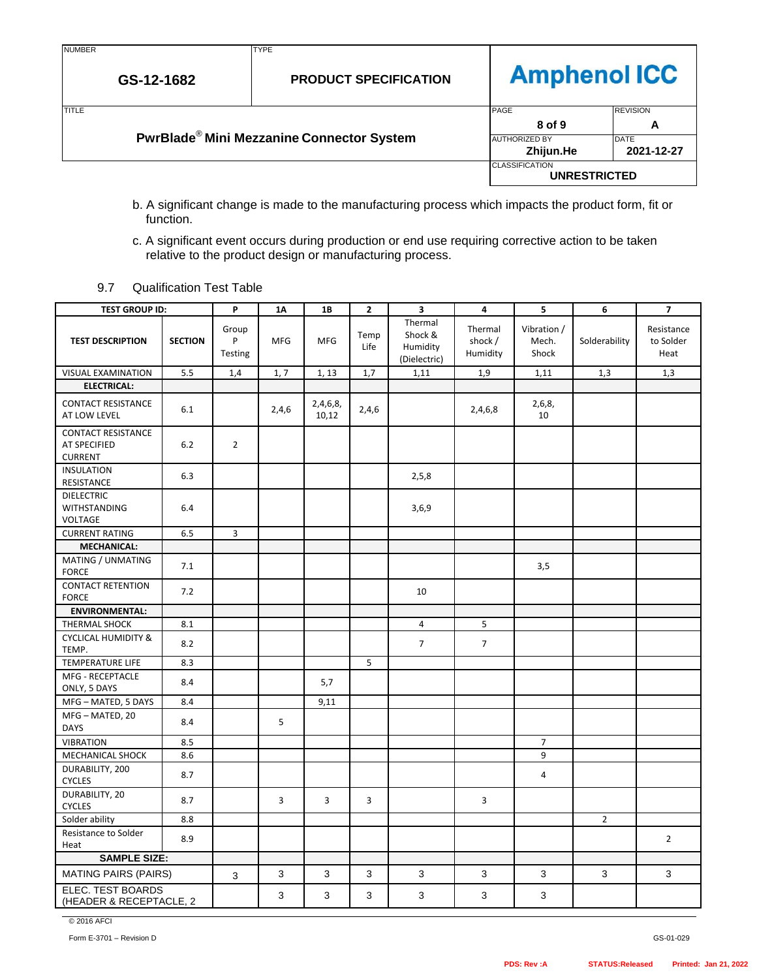TYPE

**GS-12-1682**

# **Amphenol ICC**

| <b>TITLE</b> |                                                       | PAGE                  | <b>REVISION</b> |
|--------------|-------------------------------------------------------|-----------------------|-----------------|
|              |                                                       | 8 of 9                |                 |
|              | PwrBlade <sup>®</sup> Mini Mezzanine Connector System | <b>AUTHORIZED BY</b>  | <b>DATE</b>     |
|              |                                                       | Zhijun.He             | 2021-12-27      |
|              |                                                       | <b>CLASSIFICATION</b> |                 |
|              |                                                       | <b>UNRESTRICTED</b>   |                 |

- b. A significant change is made to the manufacturing process which impacts the product form, fit or function.
- c. A significant event occurs during production or end use requiring corrective action to be taken relative to the product design or manufacturing process.
- 9.7 Qualification Test Table

| <b>TEST GROUP ID:</b>                                       |                | P                     | <b>1A</b>  | 1B                | $\overline{2}$ | 3                                              | 4                              | 5                             | 6              | $\overline{7}$                  |
|-------------------------------------------------------------|----------------|-----------------------|------------|-------------------|----------------|------------------------------------------------|--------------------------------|-------------------------------|----------------|---------------------------------|
| <b>TEST DESCRIPTION</b>                                     | <b>SECTION</b> | Group<br>P<br>Testing | <b>MFG</b> | <b>MFG</b>        | Temp<br>Life   | Thermal<br>Shock &<br>Humidity<br>(Dielectric) | Thermal<br>shock /<br>Humidity | Vibration /<br>Mech.<br>Shock | Solderability  | Resistance<br>to Solder<br>Heat |
| VISUAL EXAMINATION                                          | 5.5            | 1,4                   | 1, 7       | 1, 13             | 1,7            | 1,11                                           | 1,9                            | 1,11                          | 1,3            | 1,3                             |
| <b>ELECTRICAL:</b>                                          |                |                       |            |                   |                |                                                |                                |                               |                |                                 |
| <b>CONTACT RESISTANCE</b><br>AT LOW LEVEL                   | 6.1            |                       | 2,4,6      | 2,4,6,8,<br>10,12 | 2,4,6          |                                                | 2,4,6,8                        | 2,6,8,<br>10                  |                |                                 |
| <b>CONTACT RESISTANCE</b><br>AT SPECIFIED<br><b>CURRENT</b> | $6.2$          | $\overline{2}$        |            |                   |                |                                                |                                |                               |                |                                 |
| <b>INSULATION</b><br>RESISTANCE                             | 6.3            |                       |            |                   |                | 2,5,8                                          |                                |                               |                |                                 |
| <b>DIELECTRIC</b><br><b>WITHSTANDING</b><br><b>VOLTAGE</b>  | 6.4            |                       |            |                   |                | 3,6,9                                          |                                |                               |                |                                 |
| <b>CURRENT RATING</b>                                       | 6.5            | $\overline{3}$        |            |                   |                |                                                |                                |                               |                |                                 |
| <b>MECHANICAL:</b>                                          |                |                       |            |                   |                |                                                |                                |                               |                |                                 |
| MATING / UNMATING<br><b>FORCE</b>                           | 7.1            |                       |            |                   |                |                                                |                                | 3,5                           |                |                                 |
| <b>CONTACT RETENTION</b><br><b>FORCE</b>                    | 7.2            |                       |            |                   |                | 10                                             |                                |                               |                |                                 |
| <b>ENVIRONMENTAL:</b>                                       |                |                       |            |                   |                |                                                |                                |                               |                |                                 |
| <b>THERMAL SHOCK</b>                                        | 8.1            |                       |            |                   |                | 4                                              | 5                              |                               |                |                                 |
| <b>CYCLICAL HUMIDITY &amp;</b><br>TEMP.                     | 8.2            |                       |            |                   |                | $\overline{7}$                                 | $\overline{7}$                 |                               |                |                                 |
| <b>TEMPERATURE LIFE</b>                                     | 8.3            |                       |            |                   | 5              |                                                |                                |                               |                |                                 |
| MFG - RECEPTACLE<br>ONLY, 5 DAYS                            | 8.4            |                       |            | 5,7               |                |                                                |                                |                               |                |                                 |
| MFG - MATED, 5 DAYS                                         | 8.4            |                       |            | 9,11              |                |                                                |                                |                               |                |                                 |
| MFG-MATED, 20<br><b>DAYS</b>                                | 8.4            |                       | 5          |                   |                |                                                |                                |                               |                |                                 |
| <b>VIBRATION</b>                                            | 8.5            |                       |            |                   |                |                                                |                                | $\overline{7}$                |                |                                 |
| MECHANICAL SHOCK                                            | 8.6            |                       |            |                   |                |                                                |                                | 9                             |                |                                 |
| DURABILITY, 200<br><b>CYCLES</b>                            | 8.7            |                       |            |                   |                |                                                |                                | 4                             |                |                                 |
| DURABILITY, 20<br><b>CYCLES</b>                             | 8.7            |                       | 3          | 3                 | 3              |                                                | 3                              |                               |                |                                 |
| Solder ability                                              | 8.8            |                       |            |                   |                |                                                |                                |                               | $\overline{2}$ |                                 |
| Resistance to Solder<br>Heat                                | 8.9            |                       |            |                   |                |                                                |                                |                               |                | $\overline{2}$                  |
| <b>SAMPLE SIZE:</b>                                         |                |                       |            |                   |                |                                                |                                |                               |                |                                 |
| <b>MATING PAIRS (PAIRS)</b>                                 |                | 3                     | 3          | 3                 | 3              | 3                                              | 3                              | 3                             | 3              | 3                               |
| ELEC. TEST BOARDS<br>(HEADER & RECEPTACLE, 2                |                |                       | 3          | 3                 | 3              | 3                                              | 3                              | 3                             |                |                                 |

© 2016 AFCI